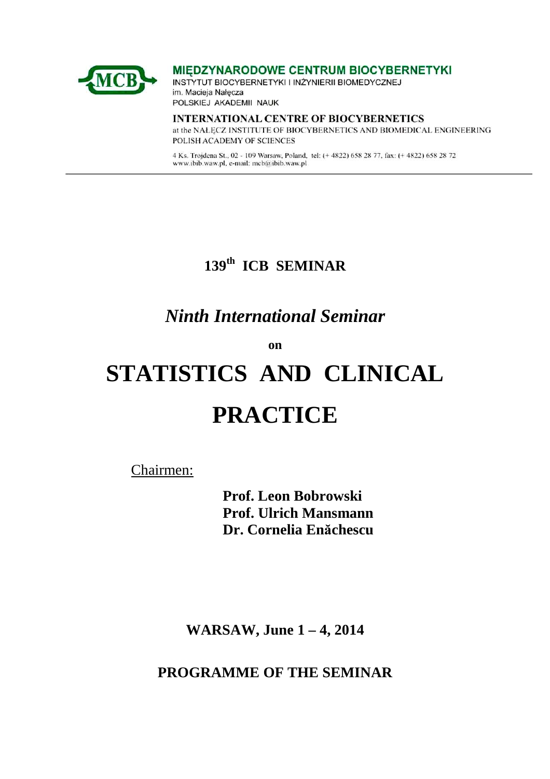

MIEDZYNARODOWE CENTRUM BIOCYBERNETYKI

INSTYTUT BIOCYBERNETYKI I INŻYNIERII BIOMEDYCZNEJ im. Macieja Nałęcza POLSKIEJ AKADEMII NAUK

**INTERNATIONAL CENTRE OF BIOCYBERNETICS** at the NALECZ INSTITUTE OF BIOCYBERNETICS AND BIOMEDICAL ENGINEERING POLISH ACADEMY OF SCIENCES

4 Ks. Trojdena St., 02 - 109 Warsaw, Poland, tel: (+ 4822) 658 28 77, fax: (+ 4822) 658 28 72 www.ibib.waw.pl, e-mail: mcb@ibib.waw.pl

# **139th ICB SEMINAR**

# *Ninth International Seminar*

**on** 

# **STATISTICS AND CLINICAL PRACTICE**

Chairmen:

**Prof. Leon Bobrowski Prof. Ulrich Mansmann Dr. Cornelia Enăchescu** 

**WARSAW, June 1 – 4, 2014** 

**PROGRAMME OF THE SEMINAR**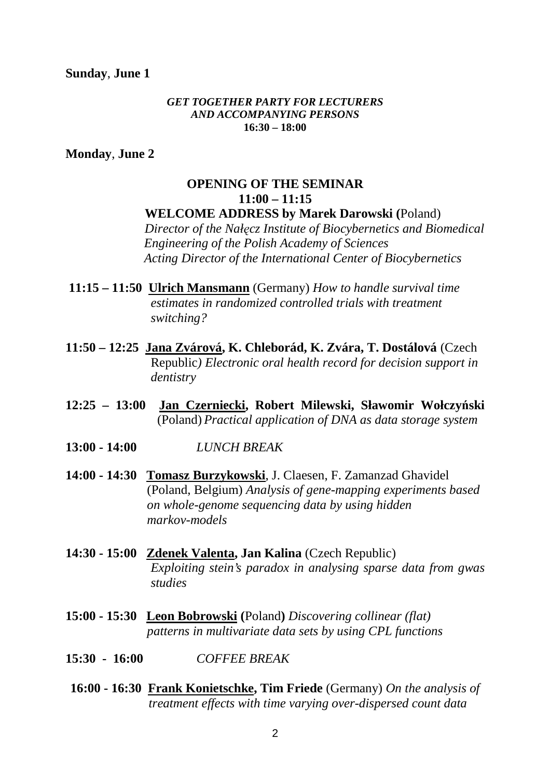#### **Sunday**, **June 1**

#### *GET TOGETHER PARTY FOR LECTURERS AND ACCOMPANYING PERSONS*  **16:30 – 18:00**

**Monday**, **June 2** 

#### **OPENING OF THE SEMINAR 11:00 – 11:15 WELCOME ADDRESS by Marek Darowski (**Poland)

*Director of the Nałęcz Institute of Biocybernetics and Biomedical Engineering of the Polish Academy of Sciences Acting Director of the International Center of Biocybernetics* 

- **11:15 11:50 Ulrich Mansmann** (Germany) *How to handle survival time estimates in randomized controlled trials with treatment switching?*
- **11:50 12:25 Jana Zvárová, K. Chleborád, K. Zvára, T. Dostálová** (Czech Republic*) Electronic oral health record for decision support in dentistry*
- **12:25 13:00 Jan Czerniecki, Robert Milewski, Sławomir Wołczyński** (Poland) *Practical application of DNA as data storage system*
- **13:00 14:00** *LUNCH BREAK*
- **14:00 14:30 Tomasz Burzykowski**, J. Claesen, F. Zamanzad Ghavidel (Poland, Belgium) *Analysis of gene-mapping experiments based on whole-genome sequencing data by using hidden markov-models*
- **14:30 15:00 Zdenek Valenta, Jan Kalina** (Czech Republic) *Exploiting stein's paradox in analysing sparse data from gwas studies*
- **15:00 15:30 Leon Bobrowski (**Poland**)** *Discovering collinear (flat) patterns in multivariate data sets by using CPL functions*
- **15:30 16:00** *COFFEE BREAK*
- **16:00 16:30 Frank Konietschke, Tim Friede** (Germany) *On the analysis of treatment effects with time varying over-dispersed count data*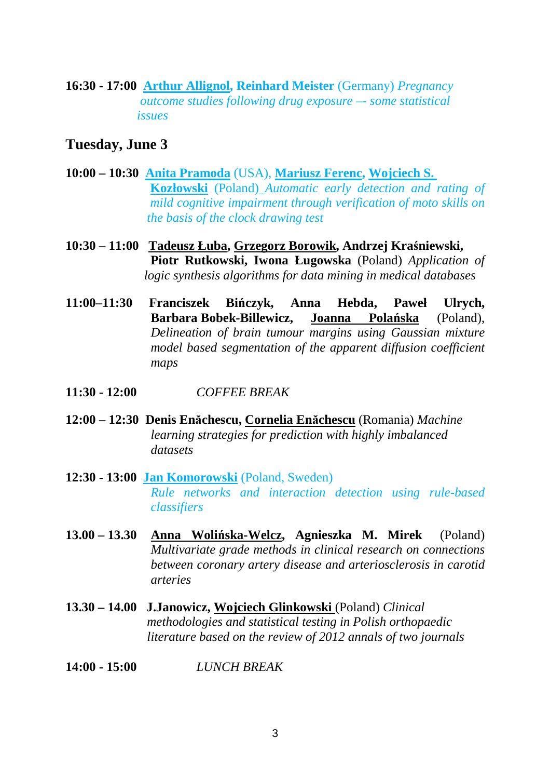**16:30 - 17:00 Arthur Allignol, Reinhard Meister** (Germany) *Pregnancy outcome studies following drug exposure –- some statistical issues*

#### **Tuesday, June 3**

- **10:00 10:30 Anita Pramoda** (USA), **Mariusz Ferenc, Wojciech S. Kozłowski** (Poland) *Automatic early detection and rating of mild cognitive impairment through verification of moto skills on the basis of the clock drawing test*
- **10:30 11:00 Tadeusz Łuba, Grzegorz Borowik, Andrzej Kraśniewski, Piotr Rutkowski, Iwona Ługowska** (Poland) *Application of logic synthesis algorithms for data mining in medical databases*
- **11:00–11:30 Franciszek Bińczyk, Anna Hebda, Paweł Ulrych, Barbara Bobek-Billewicz, Joanna Polańska** (Poland), *Delineation of brain tumour margins using Gaussian mixture model based segmentation of the apparent diffusion coefficient maps*
- **11:30 12:00** *COFFEE BREAK*
- **12:00 12:30 Denis Enăchescu, Cornelia Enăchescu** (Romania) *Machine learning strategies for prediction with highly imbalanced datasets*
- **12:30 13:00 Jan Komorowski** (Poland, Sweden) *Rule networks and interaction detection using rule-based classifiers*
- **13.00 13.30 Anna Wolińska-Welcz, Agnieszka M. Mirek** (Poland) *Multivariate grade methods in clinical research on connections between coronary artery disease and arteriosclerosis in carotid arteries*
- **13.30 14.00 J.Janowicz, Wojciech Glinkowski** (Poland) *Clinical methodologies and statistical testing in Polish orthopaedic literature based on the review of 2012 annals of two journals*
- **14:00 15:00** *LUNCH BREAK*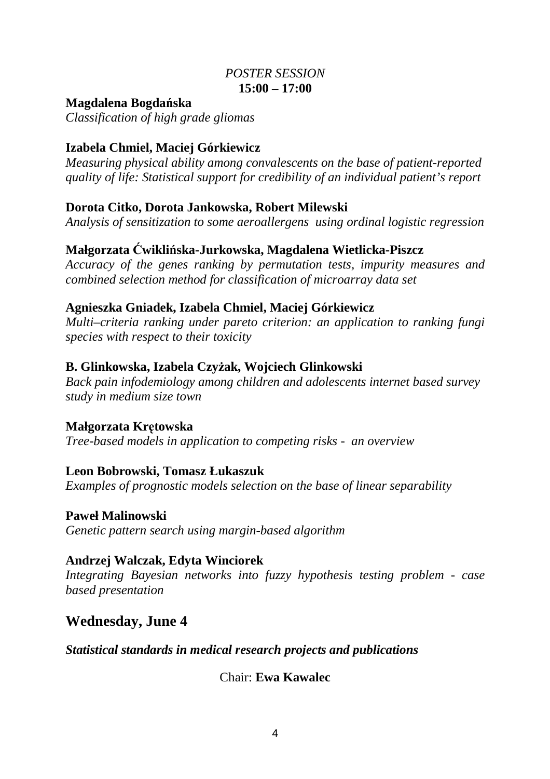#### *POSTER SESSION*  **15:00 – 17:00**

#### **Magdalena Bogdańska**

*Classification of high grade gliomas* 

### **Izabela Chmiel, Maciej Górkiewicz**

*Measuring physical ability among convalescents on the base of patient-reported quality of life: Statistical support for credibility of an individual patient's report* 

#### **Dorota Citko, Dorota Jankowska, Robert Milewski**

*Analysis of sensitization to some aeroallergens using ordinal logistic regression*

### **Małgorzata Ćwiklińska-Jurkowska, Magdalena Wietlicka-Piszcz**

*Accuracy of the genes ranking by permutation tests, impurity measures and combined selection method for classification of microarray data set*

#### **Agnieszka Gniadek, Izabela Chmiel, Maciej Górkiewicz**

*Multi–criteria ranking under pareto criterion: an application to ranking fungi species with respect to their toxicity* 

#### **B. Glinkowska, Izabela Czyżak, Wojciech Glinkowski**

*Back pain infodemiology among children and adolescents internet based survey study in medium size town* 

## **Małgorzata Krętowska**

*Tree-based models in application to competing risks - an overview*

#### **Leon Bobrowski, Tomasz Łukaszuk**

*Examples of prognostic models selection on the base of linear separability* 

#### **Paweł Malinowski**

*Genetic pattern search using margin-based algorithm*

#### **Andrzej Walczak, Edyta Winciorek**

*Integrating Bayesian networks into fuzzy hypothesis testing problem - case based presentation* 

## **Wednesday, June 4**

#### *Statistical standards in medical research projects and publications*

#### Chair: **Ewa Kawalec**